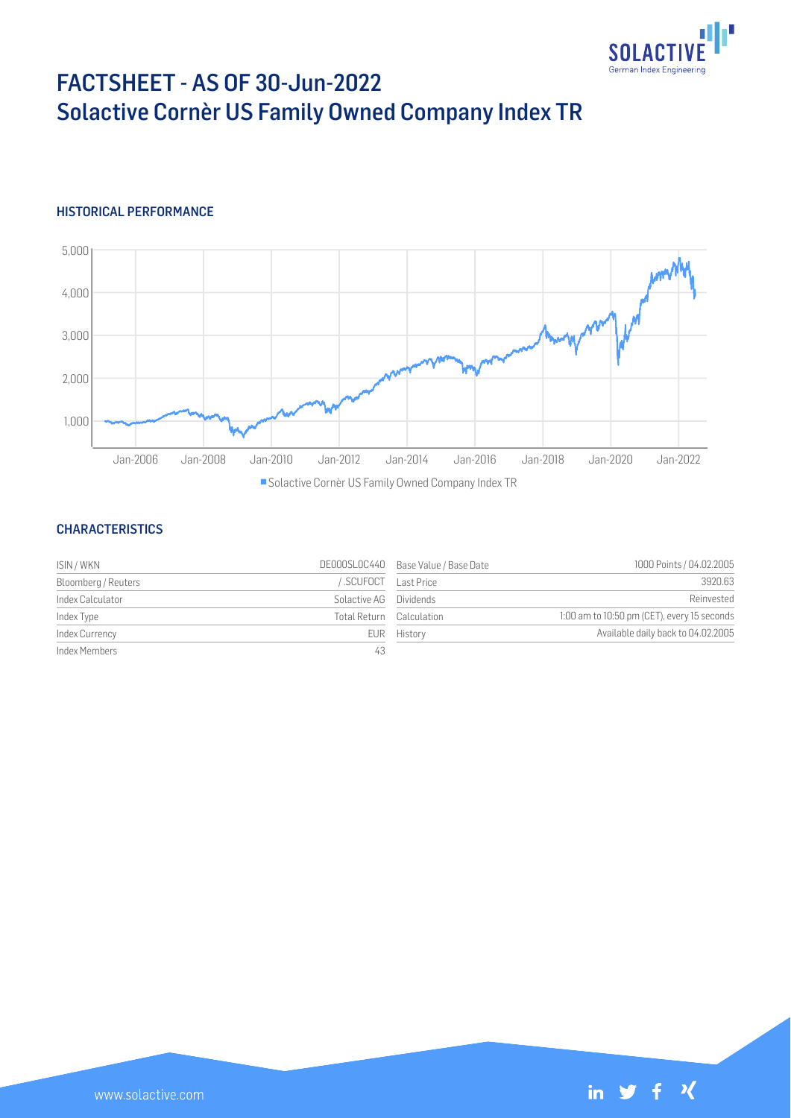

# FACTSHEET - AS OF 30-Jun-2022 Solactive Cornèr US Family Owned Company Index TR

## HISTORICAL PERFORMANCE



#### **CHARACTERISTICS**

| ISIN / WKN          |                          | DE000SLOC440 Base Value / Base Date | 1000 Points / 04.02.2005                    |
|---------------------|--------------------------|-------------------------------------|---------------------------------------------|
| Bloomberg / Reuters | SCUFOCT Last Price       |                                     | 3920.63                                     |
| Index Calculator    | Solactive AG Dividends   |                                     | Reinvested                                  |
| Index Type          | Total Return Calculation |                                     | 1:00 am to 10:50 pm (CET), every 15 seconds |
| Index Currency      |                          | EUR History                         | Available daily back to 04.02.2005          |
| Index Members       | 43                       |                                     |                                             |

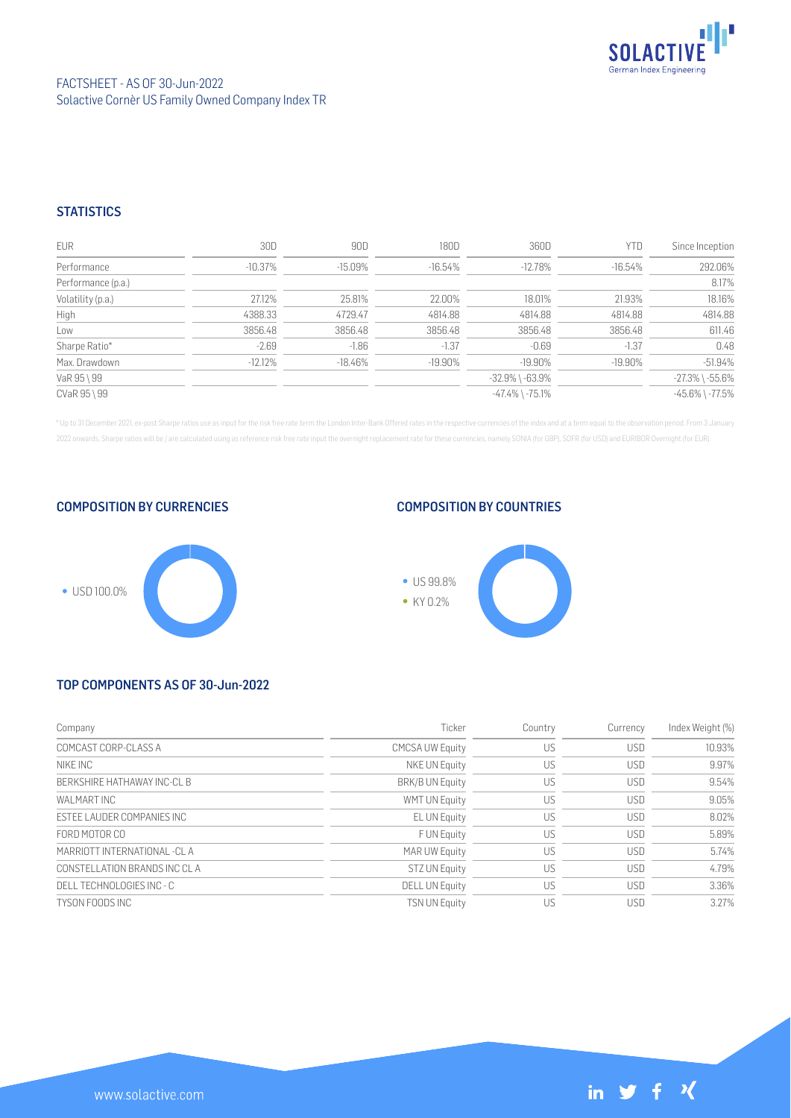

# **STATISTICS**

| EUR                | 30D        | 90D        | 180D       | 360D                  | YTD        | Since Inception       |
|--------------------|------------|------------|------------|-----------------------|------------|-----------------------|
| Performance        | $-10.37\%$ | $-15.09\%$ | $-16.54%$  | $-12.78%$             | -16.54%    | 292.06%               |
| Performance (p.a.) |            |            |            |                       |            | 8.17%                 |
| Volatility (p.a.)  | 27.12%     | 25.81%     | 22.00%     | 18.01%                | 21.93%     | 18.16%                |
| High               | 4388.33    | 4729.47    | 4814.88    | 4814.88               | 4814.88    | 4814.88               |
| Low                | 3856.48    | 3856.48    | 3856.48    | 3856.48               | 3856.48    | 611.46                |
| Sharpe Ratio*      | $-2.69$    | $-1.86$    | $-1.37$    | $-0.69$               | $-1.37$    | 0.48                  |
| Max. Drawdown      | $-12.12\%$ | $-18.46\%$ | $-19.90\%$ | $-19.90\%$            | $-19.90\%$ | $-51.94%$             |
| VaR 95 \ 99        |            |            |            | $-32.9\%$ \ $-63.9\%$ |            | $-27.3\%$ \ $-55.6\%$ |
| CVaR 95 \ 99       |            |            |            | $-47.4\%$ \ $-75.1\%$ |            | $-45.6\%$ \ $-77.5\%$ |

\* Up to 31 December 2021, ex-post Sharpe ratios use as input for the risk free rate term the London Inter-Bank Offered rates in the respective currencies of the index and at a term equal to the observation period. From 3 J 2022 onwards, Sharpe ratios will be / are calculated using as reference risk free rate input the overnight replacement rate for these currencies, namely SONIA (for GBP), SOFR (for USD) and EURIBOR Overnight (for EUR).





### COMPOSITION BY COUNTRIES



# TOP COMPONENTS AS OF 30-Jun-2022

| Company                       | Ticker                 | Country | Currency   | Index Weight (%) |
|-------------------------------|------------------------|---------|------------|------------------|
| COMCAST CORP-CLASS A          | <b>CMCSA UW Equity</b> | US      | <b>USD</b> | 10.93%           |
| NIKE INC                      | NKE UN Equity          | US      | <b>USD</b> | 9.97%            |
| BERKSHIRE HATHAWAY INC-CLB    | <b>BRK/B UN Equity</b> | US      | <b>USD</b> | 9.54%            |
| WAI MART INC                  | <b>WMT UN Equity</b>   | US      | <b>USD</b> | 9.05%            |
| ESTEE LAUDER COMPANIES INC    | EL UN Equity           | US      | <b>USD</b> | 8.02%            |
| FORD MOTOR CO                 | F UN Equity            | US      | <b>USD</b> | 5.89%            |
| MARRIOTT INTERNATIONAL -CLA   | MAR UW Equity          | US      | <b>USD</b> | 5.74%            |
| CONSTELLATION BRANDS INC CL A | <b>STZ UN Equity</b>   | US      | <b>USD</b> | 4.79%            |
| DELL TECHNOLOGIES INC - C     | <b>DELL UN Equity</b>  | US      | <b>USD</b> | 3.36%            |
| TYSON FOODS INC               | <b>TSN UN Equity</b>   | US      | <b>USD</b> | 3.27%            |